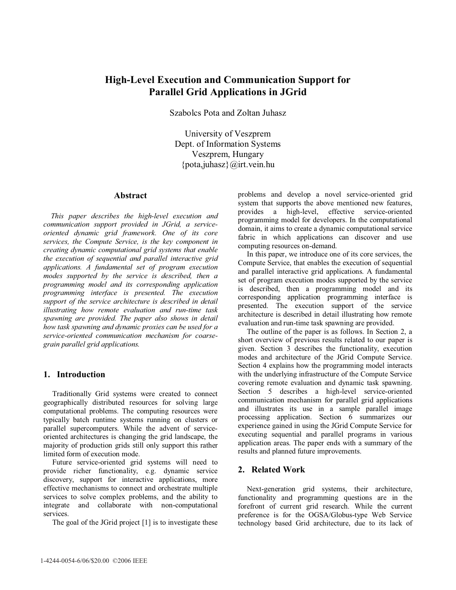# **High-Level Execution and Communication Support for Parallel Grid Applications in JGrid**

Szabolcs Pota and Zoltan Juhasz

University of Veszprem Dept. of Information Systems Veszprem, Hungary  ${pota,juhasz}$  $@irt,vein,hu$ 

#### **Abstract**

*This paper describes the high-level execution and communication support provided in JGrid, a serviceoriented dynamic grid framework. One of its core services, the Compute Service, is the key component in creating dynamic computational grid systems that enable the execution of sequential and parallel interactive grid applications. A fundamental set of program execution modes supported by the service is described, then a programming model and its corresponding application programming interface is presented. The execution support of the service architecture is described in detail illustrating how remote evaluation and run-time task spawning are provided. The paper also shows in detail how task spawning and dynamic proxies can be used for a service-oriented communication mechanism for coarsegrain parallel grid applications.* 

# **1. Introduction**

Traditionally Grid systems were created to connect geographically distributed resources for solving large computational problems. The computing resources were typically batch runtime systems running on clusters or parallel supercomputers. While the advent of serviceoriented architectures is changing the grid landscape, the majority of production grids still only support this rather limited form of execution mode.

Future service-oriented grid systems will need to provide richer functionality, e.g. dynamic service discovery, support for interactive applications, more effective mechanisms to connect and orchestrate multiple services to solve complex problems, and the ability to integrate and collaborate with non-computational services.

The goal of the JGrid project [1] is to investigate these

problems and develop a novel service-oriented grid system that supports the above mentioned new features, provides a high-level, effective service-oriented programming model for developers. In the computational domain, it aims to create a dynamic computational service fabric in which applications can discover and use computing resources on-demand.

In this paper, we introduce one of its core services, the Compute Service, that enables the execution of sequential and parallel interactive grid applications. A fundamental set of program execution modes supported by the service is described, then a programming model and its corresponding application programming interface is presented. The execution support of the service architecture is described in detail illustrating how remote evaluation and run-time task spawning are provided.

The outline of the paper is as follows. In Section 2, a short overview of previous results related to our paper is given. Section 3 describes the functionality, execution modes and architecture of the JGrid Compute Service. Section 4 explains how the programming model interacts with the underlying infrastructure of the Compute Service covering remote evaluation and dynamic task spawning. Section 5 describes a high-level service-oriented communication mechanism for parallel grid applications and illustrates its use in a sample parallel image processing application. Section 6 summarizes our experience gained in using the JGrid Compute Service for executing sequential and parallel programs in various application areas. The paper ends with a summary of the results and planned future improvements.

# **2. Related Work**

Next-generation grid systems, their architecture, functionality and programming questions are in the forefront of current grid research. While the current preference is for the OGSA/Globus-type Web Service technology based Grid architecture, due to its lack of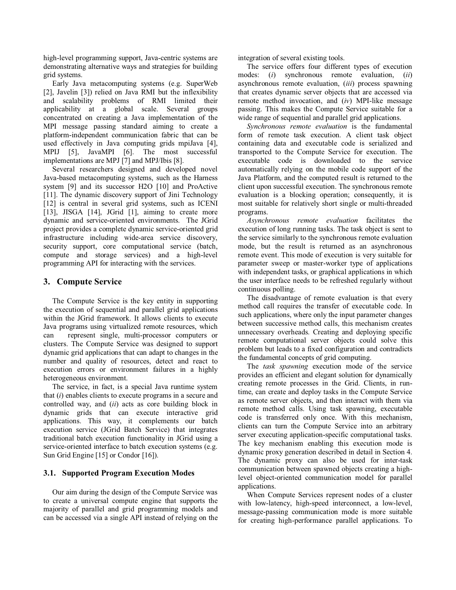high-level programming support, Java-centric systems are demonstrating alternative ways and strategies for building grid systems.

Early Java metacomputing systems (e.g. SuperWeb [2], Javelin [3]) relied on Java RMI but the inflexibility and scalability problems of RMI limited their applicability at a global scale. Several groups concentrated on creating a Java implementation of the MPI message passing standard aiming to create a platform-independent communication fabric that can be used effectively in Java computing grids mpiJava [4], MPIJ [5], JavaMPI [6]. The most successful implementations are MPJ [7] and MPJ/Ibis [8].

Several researchers designed and developed novel Java-based metacomputing systems, such as the Harness system [9] and its successor H2O [10] and ProActive [11]. The dynamic discovery support of Jini Technology [12] is central in several grid systems, such as ICENI [13], JISGA [14], JGrid [1], aiming to create more dynamic and service-oriented environments. The JGrid project provides a complete dynamic service-oriented grid infrastructure including wide-area service discovery, security support, core computational service (batch, compute and storage services) and a high-level programming API for interacting with the services.

# **3. Compute Service**

The Compute Service is the key entity in supporting the execution of sequential and parallel grid applications within the JGrid framework. It allows clients to execute Java programs using virtualized remote resources, which can represent single, multi-processor computers or clusters. The Compute Service was designed to support dynamic grid applications that can adapt to changes in the number and quality of resources, detect and react to execution errors or environment failures in a highly heterogeneous environment.

The service, in fact, is a special Java runtime system that (*i*) enables clients to execute programs in a secure and controlled way, and (*ii*) acts as core building block in dynamic grids that can execute interactive grid applications. This way, it complements our batch execution service (JGrid Batch Service) that integrates traditional batch execution functionality in JGrid using a service-oriented interface to batch execution systems (e.g. Sun Grid Engine [15] or Condor [16]).

# **3.1. Supported Program Execution Modes**

Our aim during the design of the Compute Service was to create a universal compute engine that supports the majority of parallel and grid programming models and can be accessed via a single API instead of relying on the integration of several existing tools.

The service offers four different types of execution modes: (*i*) synchronous remote evaluation, (*ii*) asynchronous remote evaluation, (*iii*) process spawning that creates dynamic server objects that are accessed via remote method invocation, and (*iv*) MPI-like message passing. This makes the Compute Service suitable for a wide range of sequential and parallel grid applications.

*Synchronous remote evaluation* is the fundamental form of remote task execution. A client task object containing data and executable code is serialized and transported to the Compute Service for execution. The executable code is downloaded to the service automatically relying on the mobile code support of the Java Platform, and the computed result is returned to the client upon successful execution. The synchronous remote evaluation is a blocking operation; consequently, it is most suitable for relatively short single or multi-threaded programs.

*Asynchronous remote evaluation* facilitates the execution of long running tasks. The task object is sent to the service similarly to the synchronous remote evaluation mode, but the result is returned as an asynchronous remote event. This mode of execution is very suitable for parameter sweep or master-worker type of applications with independent tasks, or graphical applications in which the user interface needs to be refreshed regularly without continuous polling.

The disadvantage of remote evaluation is that every method call requires the transfer of executable code. In such applications, where only the input parameter changes between successive method calls, this mechanism creates unnecessary overheads. Creating and deploying specific remote computational server objects could solve this problem but leads to a fixed configuration and contradicts the fundamental concepts of grid computing.

The *task spawning* execution mode of the service provides an efficient and elegant solution for dynamically creating remote processes in the Grid. Clients, in runtime, can create and deploy tasks in the Compute Service as remote server objects, and then interact with them via remote method calls. Using task spawning, executable code is transferred only once. With this mechanism, clients can turn the Compute Service into an arbitrary server executing application-specific computational tasks. The key mechanism enabling this execution mode is dynamic proxy generation described in detail in Section 4. The dynamic proxy can also be used for inter-task communication between spawned objects creating a highlevel object-oriented communication model for parallel applications.

When Compute Services represent nodes of a cluster with low-latency, high-speed interconnect, a low-level, message-passing communication mode is more suitable for creating high-performance parallel applications. To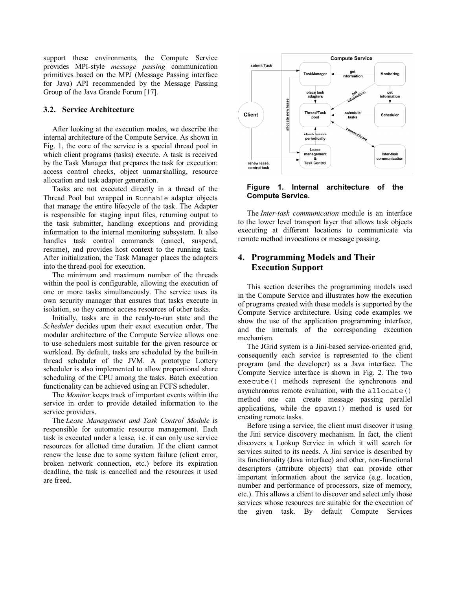support these environments, the Compute Service provides MPI*-*style *message passing* communication primitives based on the MPJ (Message Passing interface for Java) API recommended by the Message Passing Group of the Java Grande Forum [17].

### **3.2. Service Architecture**

After looking at the execution modes, we describe the internal architecture of the Compute Service. As shown in Fig. 1, the core of the service is a special thread pool in which client programs (tasks) execute. A task is received by the Task Manager that prepares the task for execution: access control checks, object unmarshalling, resource allocation and task adapter generation.

Tasks are not executed directly in a thread of the Thread Pool but wrapped in Runnable adapter objects that manage the entire lifecycle of the task. The Adapter is responsible for staging input files, returning output to the task submitter, handling exceptions and providing information to the internal monitoring subsystem. It also handles task control commands (cancel, suspend, resume), and provides host context to the running task. After initialization, the Task Manager places the adapters into the thread-pool for execution.

The minimum and maximum number of the threads within the pool is configurable, allowing the execution of one or more tasks simultaneously. The service uses its own security manager that ensures that tasks execute in isolation, so they cannot access resources of other tasks.

Initially, tasks are in the ready-to-run state and the *Scheduler* decides upon their exact execution order. The modular architecture of the Compute Service allows one to use schedulers most suitable for the given resource or workload. By default, tasks are scheduled by the built-in thread scheduler of the JVM. A prototype Lottery scheduler is also implemented to allow proportional share scheduling of the CPU among the tasks. Batch execution functionality can be achieved using an FCFS scheduler.

The *Monitor* keeps track of important events within the service in order to provide detailed information to the service providers.

The *Lease Management and Task Control Module* is responsible for automatic resource management. Each task is executed under a lease, i.e. it can only use service resources for allotted time duration. If the client cannot renew the lease due to some system failure (client error, broken network connection, etc.) before its expiration deadline, the task is cancelled and the resources it used are freed.



**Figure 1. Internal architecture of the Compute Service.** 

The *Inter-task communication* module is an interface to the lower level transport layer that allows task objects executing at different locations to communicate via remote method invocations or message passing.

# **4. Programming Models and Their Execution Support**

This section describes the programming models used in the Compute Service and illustrates how the execution of programs created with these models is supported by the Compute Service architecture. Using code examples we show the use of the application programming interface, and the internals of the corresponding execution mechanism.

The JGrid system is a Jini-based service-oriented grid, consequently each service is represented to the client program (and the developer) as a Java interface. The Compute Service interface is shown in Fig. 2. The two execute() methods represent the synchronous and asynchronous remote evaluation, with the allocate() method one can create message passing parallel applications, while the spawn() method is used for creating remote tasks.

Before using a service, the client must discover it using the Jini service discovery mechanism. In fact, the client discovers a Lookup Service in which it will search for services suited to its needs. A Jini service is described by its functionality (Java interface) and other, non-functional descriptors (attribute objects) that can provide other important information about the service (e.g. location, number and performance of processors, size of memory, etc.). This allows a client to discover and select only those services whose resources are suitable for the execution of the given task. By default Compute Services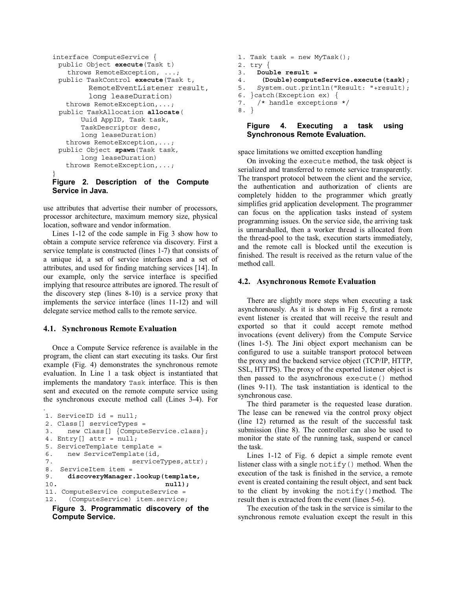```
interface ComputeService { 
  public Object execute(Task t) 
   throws RemoteException, ...; 
  public TaskControl execute(Task t, 
         RemoteEventListener result, 
          long leaseDuration)
    throws RemoteException,...; 
 public TaskAllocation allocate(
        Uuid AppID, Task task, 
        TaskDescriptor desc, 
        long leaseDuration) 
    throws RemoteException,...; 
  public Object spawn(Task task, 
        long leaseDuration) 
    throws RemoteException,...; 
}
```
#### **Figure 2. Description of the Compute Service in Java.**

use attributes that advertise their number of processors, processor architecture, maximum memory size, physical location, software and vendor information.

Lines 1-12 of the code sample in Fig 3 show how to obtain a compute service reference via discovery. First a service template is constructed (lines 1-7) that consists of a unique id, a set of service interfaces and a set of attributes, and used for finding matching services [14]. In our example, only the service interface is specified implying that resource attributes are ignored. The result of the discovery step (lines 8-10) is a service proxy that implements the service interface (lines 11-12) and will delegate service method calls to the remote service.

#### **4.1. Synchronous Remote Evaluation**

.

Once a Compute Service reference is available in the program, the client can start executing its tasks. Our first example (Fig. 4) demonstrates the synchronous remote evaluation. In Line 1 a task object is instantiated that implements the mandatory Task interface. This is then sent and executed on the remote compute service using the synchronous execute method call (Lines 3-4). For

```
1. ServiceID id = null; 
2. Class[] serviceTypes = 
3. new Class[] {ComputeService.class};
4. Entry[] attr = null; 
5. ServiceTemplate template = 
6. new ServiceTemplate(id, 
7. serviceTypes,attr);
8. ServiceItem item = 
9. discoveryManager.lookup(template, 
10. null);
11. ComputeService computeService = 
12. (ComputeService) item.service;
```
**Figure 3. Programmatic discovery of the Compute Service.** 

```
1. Task task = new MyTask(); 
2. try { 
3. Double result = 
4. (Double)computeService.execute(task);
5. System.out.println("Result: "+result); 
6. }catch(Exception ex) { 
     /* handle exceptions */
7. 8. }
```
### **Figure 4. Executing a task using Synchronous Remote Evaluation.**

space limitations we omitted exception handling

On invoking the execute method, the task object is serialized and transferred to remote service transparently. The transport protocol between the client and the service, the authentication and authorization of clients are completely hidden to the programmer which greatly simplifies grid application development. The programmer can focus on the application tasks instead of system programming issues. On the service side, the arriving task is unmarshalled, then a worker thread is allocated from the thread-pool to the task, execution starts immediately, and the remote call is blocked until the execution is finished. The result is received as the return value of the method call.

### **4.2. Asynchronous Remote Evaluation**

There are slightly more steps when executing a task asynchronously. As it is shown in Fig 5, first a remote event listener is created that will receive the result and exported so that it could accept remote method invocations (event delivery) from the Compute Service (lines 1-5). The Jini object export mechanism can be configured to use a suitable transport protocol between the proxy and the backend service object (TCP/IP, HTTP, SSL, HTTPS). The proxy of the exported listener object is then passed to the asynchronous execute() method (lines 9-11). The task instantiation is identical to the synchronous case.

The third parameter is the requested lease duration. The lease can be renewed via the control proxy object (line 12) returned as the result of the successful task submission (line 8). The controller can also be used to monitor the state of the running task, suspend or cancel the task.

Lines 1-12 of Fig. 6 depict a simple remote event listener class with a single  $notify()$  method. When the execution of the task is finished in the service, a remote event is created containing the result object, and sent back to the client by invoking the notify() method. The result then is extracted from the event (lines 5-6).

The execution of the task in the service is similar to the synchronous remote evaluation except the result in this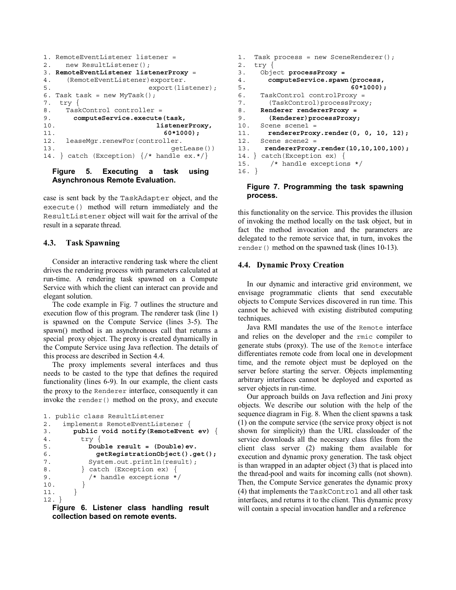```
1. RemoteEventListener listener = 
2. new ResultListener();
3. RemoteEventListener listenerProxy = 
4. (RemoteEventListener)exporter. 
5. export(listener);
6. Task task = new MyTask();
7. try { 
8. TaskControl controller = 
9. computeService.execute(task, 
10. listenerProxy,
11. 60*1000); 
12. leaseMgr.renewFor(controller. 
13. getLease()) 
14. } catch (Exception) \{/* \text{ handle } ex.*/\}
```
### **Figure 5. Executing a task using Asynchronous Remote Evaluation.**

case is sent back by the TaskAdapter object, and the execute() method will return immediately and the ResultListener object will wait for the arrival of the result in a separate thread.

# **4.3. Task Spawning**

Consider an interactive rendering task where the client drives the rendering process with parameters calculated at run-time. A rendering task spawned on a Compute Service with which the client can interact can provide and elegant solution.

The code example in Fig. 7 outlines the structure and execution flow of this program. The renderer task (line 1) is spawned on the Compute Service (lines 3-5). The spawn() method is an asynchronous call that returns a special proxy object. The proxy is created dynamically in the Compute Service using Java reflection. The details of this process are described in Section 4.4.

The proxy implements several interfaces and thus needs to be casted to the type that defines the required functionality (lines 6-9). In our example, the client casts the proxy to the Renderer interface, consequently it can invoke the render() method on the proxy, and execute

```
1. public class ResultListener 
2. implements RemoteEventListener { 
3. public void notify(RemoteEvent ev) {
4. try { 
5. Double result = (Double)ev.
6. getRegistrationObject().get();
7. System.out.println(result);
8. } catch (Exception ex) { 
9. /* handle exceptions */ 
10.11. } 
12. }
```
**Figure 6. Listener class handling result collection based on remote events.** 

```
1. Task process = new SceneRenderer(); 
2. try { 
3. Object processProxy =
4. computeService.spawn(process, 
5. 60*1000);
6. TaskControl controlProxy = 
7. (TaskControl)processProxy;
8. Renderer rendererProxy = 
9. (Renderer)processProxy; 
10. Scene scene1 = 
11. rendererProxy.render(0, 0, 10, 12);
12. Scene scene2 = 
13. rendererProxy.render(10,10,100,100);
14. } catch(Exception ex) { 
15. /* handle exceptions */ 
16. }
```
### **Figure 7. Programming the task spawning process.**

this functionality on the service. This provides the illusion of invoking the method locally on the task object, but in fact the method invocation and the parameters are delegated to the remote service that, in turn, invokes the render() method on the spawned task (lines 10-13).

# **4.4. Dynamic Proxy Creation**

In our dynamic and interactive grid environment, we envisage programmatic clients that send executable objects to Compute Services discovered in run time. This cannot be achieved with existing distributed computing techniques.

Java RMI mandates the use of the Remote interface and relies on the developer and the rmic compiler to generate stubs (proxy). The use of the Remote interface differentiates remote code from local one in development time, and the remote object must be deployed on the server before starting the server. Objects implementing arbitrary interfaces cannot be deployed and exported as server objects in run-time.

Our approach builds on Java reflection and Jini proxy objects. We describe our solution with the help of the sequence diagram in Fig. 8. When the client spawns a task (1) on the compute service (the service proxy object is not shown for simplicity) than the URL classloader of the service downloads all the necessary class files from the client class server (2) making them available for execution and dynamic proxy generation. The task object is than wrapped in an adapter object (3) that is placed into the thread-pool and waits for incoming calls (not shown). Then, the Compute Service generates the dynamic proxy (4) that implements the TaskControl and all other task interfaces, and returns it to the client. This dynamic proxy will contain a special invocation handler and a reference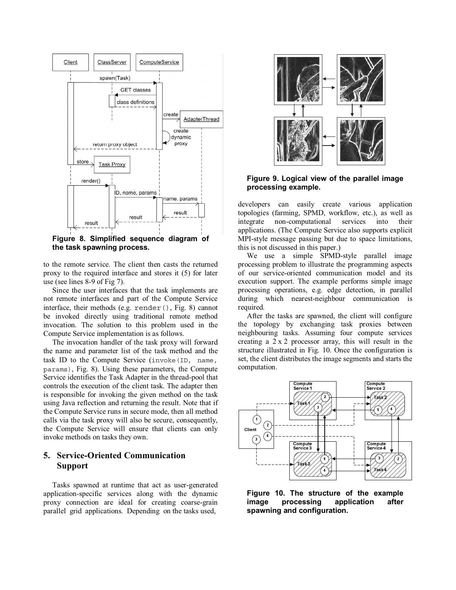

**Figure 8. Simplified sequence diagram of the task spawning process.** 

to the remote service. The client then casts the returned proxy to the required interface and stores it (5) for later use (see lines 8-9 of Fig 7).

Since the user interfaces that the task implements are not remote interfaces and part of the Compute Service interface, their methods (e.g. render(), Fig. 8) cannot be invoked directly using traditional remote method invocation. The solution to this problem used in the Compute Service implementation is as follows.

The invocation handler of the task proxy will forward the name and parameter list of the task method and the task ID to the Compute Service (invoke(ID, name, params), Fig. 8). Using these parameters, the Compute Service identifies the Task Adapter in the thread-pool that controls the execution of the client task. The adapter then is responsible for invoking the given method on the task using Java reflection and returning the result. Note that if the Compute Service runs in secure mode, then all method calls via the task proxy will also be secure, consequently, the Compute Service will ensure that clients can only invoke methods on tasks they own.

# **5. Service-Oriented Communication Support**

Tasks spawned at runtime that act as user-generated application-specific services along with the dynamic proxy connection are ideal for creating coarse-grain parallel grid applications. Depending on the tasks used,



**Figure 9. Logical view of the parallel image processing example.** 

developers can easily create various application topologies (farming, SPMD, workflow, etc.), as well as integrate non-computational services into their applications. (The Compute Service also supports explicit MPI-style message passing but due to space limitations, this is not discussed in this paper.)

We use a simple SPMD-style parallel image processing problem to illustrate the programming aspects of our service-oriented communication model and its execution support. The example performs simple image processing operations, e.g. edge detection, in parallel during which nearest-neighbour communication is required.

After the tasks are spawned, the client will configure the topology by exchanging task proxies between neighbouring tasks. Assuming four compute services creating a 2 x 2 processor array, this will result in the structure illustrated in Fig. 10. Once the configuration is set, the client distributes the image segments and starts the computation.



**Figure 10. The structure of the example image processing application after spawning and configuration.**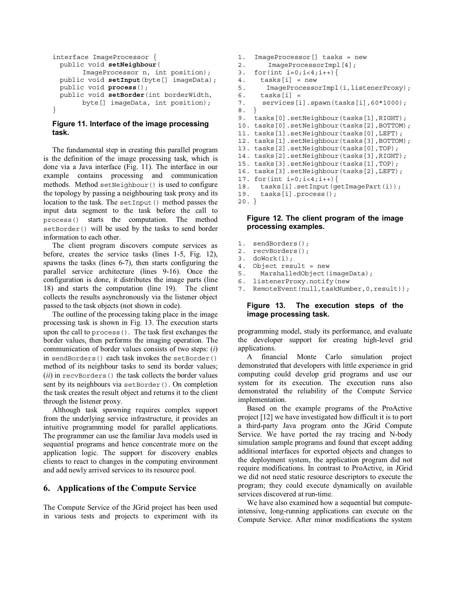```
interface ImageProcessor { 
  public void setNeighbour(
        ImageProcessor n, int position); 
  public void setInput(byte[] imageData); 
  public void process(); 
  public void setBorder(int borderWidth, 
       byte[] imageData, int position); 
}
```
### **Figure 11. Interface of the image processing task.**

The fundamental step in creating this parallel program is the definition of the image processing task, which is done via a Java interface (Fig. 11). The interface in our example contains processing and communication methods. Method setNeighbour() is used to configure the topology by passing a neighbouring task proxy and its location to the task. The setInput () method passes the input data segment to the task before the call to process() starts the computation. The method setBorder() will be used by the tasks to send border information to each other.

The client program discovers compute services as before, creates the service tasks (lines 1-5, Fig. 12), spawns the tasks (lines 6-7), then starts configuring the parallel service architecture (lines 9-16). Once the configuration is done, it distributes the image parts (line 18) and starts the computation (line 19). The client collects the results asynchronously via the listener object passed to the task objects (not shown in code).

The outline of the processing taking place in the image processing task is shown in Fig. 13. The execution starts upon the call to process(). The task first exchanges the border values, then performs the imaging operation. The communication of border values consists of two steps: (*i*) in sendBorders() each task invokes the setBorder() method of its neighbour tasks to send its border values; (*ii*) in recvBorders() the task collects the border values sent by its neighbours via setBorder(). On completion the task creates the result object and returns it to the client through the listener proxy.

Although task spawning requires complex support from the underlying service infrastructure, it provides an intuitive programming model for parallel applications. The programmer can use the familiar Java models used in sequential programs and hence concentrate more on the application logic. The support for discovery enables clients to react to changes in the computing environment and add newly arrived services to its resource pool.

# **6. Applications of the Compute Service**

The Compute Service of the JGrid project has been used in various tests and projects to experiment with its

- 1. ImageProcessor[] tasks = new
- 2. ImageProcessorImpl[4];
- 3. for(int i=0;i<4;i++){
- 4. tasks[i] = new
- 5. ImageProcessorImpl(i,listenerProxy);
- $6.$  tasks $[i] =$
- 7. services[i].spawn(tasks[i],60\*1000);
- 8. }
- 9. tasks[0].setNeighbour(tasks[1], RIGHT);
- 3. tasks[0].setNeighbour(tasks[2],BOTTOM);
- 11. tasks[1].setNeighbour(tasks[0],LEFT);
- 12. tasks[1].setNeighbour(tasks[3],BOTTOM);
- 13. tasks[2].setNeighbour(tasks[0],TOP);
- 14. tasks[2].setNeighbour(tasks[3],RIGHT);
- 15. tasks[3].setNeighbour(tasks[1],TOP);
- 16. tasks[3].setNeighbour(tasks[2],LEFT);
- 17. for(int  $i=0$ ;  $i<4$ ;  $i++$ ) {
- 18. tasks[i].setInput(getImagePart(i));
- 19. tasks[i].process();
- $20.$ }

# **Figure 12. The client program of the image processing examples.**

- 1. sendBorders();
- 2. recvBorders();
- 3. doWork(i);
- 4. Object result = new
- 5. MarshalledObject(imageData);
- 6. listenerProxy.notify(new
- 7. RemoteEvent(null,taskNumber, 0, result));

# **Figure 13. The execution steps of the image processing task.**

programming model, study its performance, and evaluate the developer support for creating high-level grid applications.

A financial Monte Carlo simulation project demonstrated that developers with little experience in grid computing could develop grid programs and use our system for its execution. The execution runs also demonstrated the reliability of the Compute Service implementation.

Based on the example programs of the ProActive project [12] we have investigated how difficult it is to port a third-party Java program onto the JGrid Compute Service. We have ported the ray tracing and N-body simulation sample programs and found that except adding additional interfaces for exported objects and changes to the deployment system, the application program did not require modifications. In contrast to ProActive, in JGrid we did not need static resource descriptors to execute the program; they could execute dynamically on available services discovered at run-time.

We have also examined how a sequential but computeintensive, long-running applications can execute on the Compute Service. After minor modifications the system